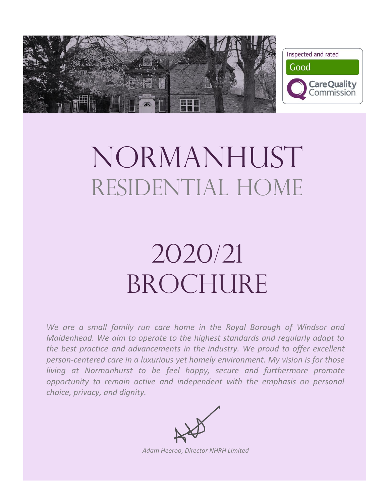

# NORMANHUST RESIDENTIAL HOME

# 2020/21 BROCHURE

We are a small family run care home in the Royal Borough of Windsor and *Maidenhead. We aim to operate to the highest standards and regularly adapt to the best practice and advancements in the industry. We proud to offer excellent person-centered care in a luxurious yet homely environment. My vision is for those living at Normanhurst to be feel happy, secure and furthermore promote opportunity to remain active and independent with the emphasis on personal choice, privacy, and dignity.*



*Adam Heeroo, Director NHRH Limited*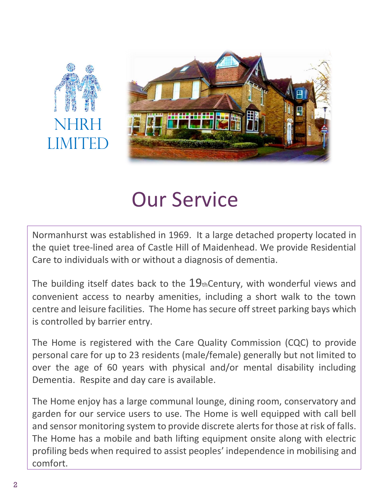



# Our Service

Normanhurst was established in 1969. It a large detached property located in the quiet tree-lined area of Castle Hill of Maidenhead. We provide Residential Care to individuals with or without a diagnosis of dementia.

The building itself dates back to the  $19$ thCentury, with wonderful views and convenient access to nearby amenities, including a short walk to the town centre and leisure facilities. The Home has secure off street parking bays which is controlled by barrier entry.

The Home is registered with the Care Quality Commission (CQC) to provide personal care for up to 23 residents (male/female) generally but not limited to over the age of 60 years with physical and/or mental disability including Dementia. Respite and day care is available.

The Home enjoy has a large communal lounge, dining room, conservatory and garden for our service users to use. The Home is well equipped with call bell and sensor monitoring system to provide discrete alerts for those at risk of falls. The Home has a mobile and bath lifting equipment onsite along with electric profiling beds when required to assist peoples' independence in mobilising and comfort.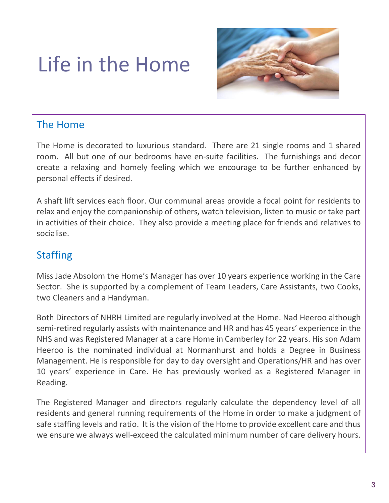# Life in the Home



## The Home

The Home is decorated to luxurious standard. There are 21 single rooms and 1 shared room. All but one of our bedrooms have en-suite facilities. The furnishings and decor create a relaxing and homely feeling which we encourage to be further enhanced by personal effects if desired.

A shaft lift services each floor. Our communal areas provide a focal point for residents to relax and enjoy the companionship of others, watch television, listen to music or take part in activities of their choice. They also provide a meeting place for friends and relatives to socialise.

## **Staffing**

Miss Jade Absolom the Home's Manager has over 10 years experience working in the Care Sector. She is supported by a complement of Team Leaders, Care Assistants, two Cooks, two Cleaners and a Handyman.

Both Directors of NHRH Limited are regularly involved at the Home. Nad Heeroo although semi-retired regularly assists with maintenance and HR and has 45 years' experience in the NHS and was Registered Manager at a care Home in Camberley for 22 years. His son Adam Heeroo is the nominated individual at Normanhurst and holds a Degree in Business Management. He is responsible for day to day oversight and Operations/HR and has over 10 years' experience in Care. He has previously worked as a Registered Manager in Reading.

The Registered Manager and directors regularly calculate the dependency level of all residents and general running requirements of the Home in order to make a judgment of safe staffing levels and ratio. It is the vision of the Home to provide excellent care and thus we ensure we always well-exceed the calculated minimum number of care delivery hours.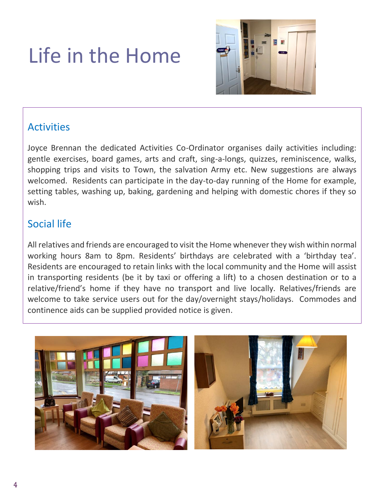# Life in the Home



## Activities

Joyce Brennan the dedicated Activities Co-Ordinator organises daily activities including: gentle exercises, board games, arts and craft, sing-a-longs, quizzes, reminiscence, walks, shopping trips and visits to Town, the salvation Army etc. New suggestions are always welcomed. Residents can participate in the day-to-day running of the Home for example, setting tables, washing up, baking, gardening and helping with domestic chores if they so wish.

## Social life

All relatives and friends are encouraged to visit the Home whenever they wish within normal working hours 8am to 8pm. Residents' birthdays are celebrated with a 'birthday tea'. Residents are encouraged to retain links with the local community and the Home will assist in transporting residents (be it by taxi or offering a lift) to a chosen destination or to a relative/friend's home if they have no transport and live locally. Relatives/friends are welcome to take service users out for the day/overnight stays/holidays. Commodes and continence aids can be supplied provided notice is given.

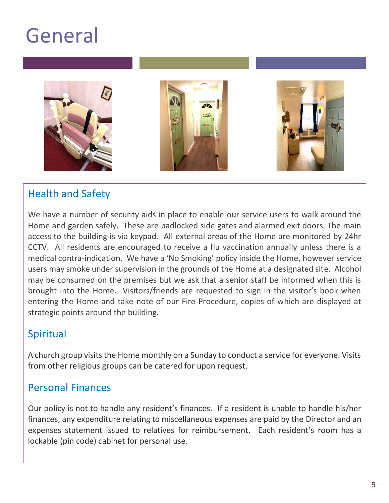

## Health and Safety

We have a number of security aids in place to enable our service users to walk around the Home and garden safely. These are padlocked side gates and alarmed exit doors. The main access to the building is via keypad. All external areas of the Home are monitored by 24hr CCTV. All residents are encouraged to receive a flu vaccination annually unless there is a medical contra-indication. We have a 'No Smoking' policy inside the Home, however service users may smoke under supervision in the grounds of the Home at a designated site. Alcohol may be consumed on the premises but we ask that a senior staff be informed when this is brought into the Home. Visitors/friends are requested to sign in the visitor's book when entering the Home and take note of our Fire Procedure, copies of which are displayed at strategic points around the building.

### Spiritual

A church group visits the Home monthly on a Sunday to conduct a service for everyone. Visits from other religious groups can be catered for upon request.

### Personal Finances

Our policy is not to handle any resident's finances. If a resident is unable to handle his/her finances, any expenditure relating to miscellaneous expenses are paid by the Director and an expenses statement issued to relatives for reimbursement. Each resident's room has a lockable (pin code) cabinet for personal use.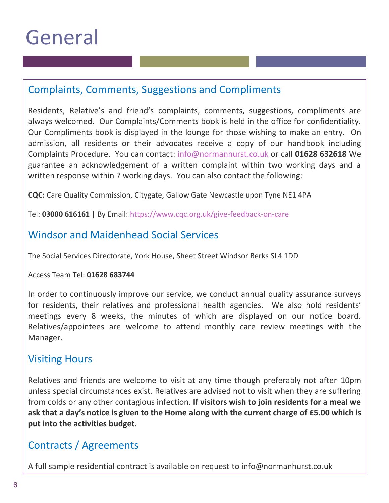$\mathcal{I}(\mathcal{I})$  is the set of  $\mathcal{I}(\mathcal{I})$  in the set of  $\mathcal{I}(\mathcal{I})$ 

## Complaints, Comments, Suggestions and Compliments

Residents, Relative's and friend's complaints, comments, suggestions, compliments are always welcomed. Our Complaints/Comments book is held in the office for confidentiality. Our Compliments book is displayed in the lounge for those wishing to make an entry. On admission, all residents or their advocates receive a copy of our handbook including Complaints Procedure. You can contact: [info@normanhurst.co.uk](mailto:info@normanhurst.co.uk) or call **01628 632618** We guarantee an acknowledgement of a written complaint within two working days and a written response within 7 working days. You can also contact the following:

**CQC:** Care Quality Commission, Citygate, Gallow Gate Newcastle upon Tyne NE1 4PA

Tel: **03000 616161** | By Email: [https://www.cqc.org.uk/give-feedback-on-care](https://www.cqc.org.uk/give-feedback-on-care?referer=promoblock)

## Windsor and Maidenhead Social Services

The Social Services Directorate, York House, Sheet Street Windsor Berks SL4 1DD

### Access Team Tel: **01628 683744**

In order to continuously improve our service, we conduct annual quality assurance surveys for residents, their relatives and professional health agencies. We also hold residents' meetings every 8 weeks, the minutes of which are displayed on our notice board. Relatives/appointees are welcome to attend monthly care review meetings with the Manager.

### Visiting Hours

Relatives and friends are welcome to visit at any time though preferably not after 10pm unless special circumstances exist. Relatives are advised not to visit when they are suffering from colds or any other contagious infection. **If visitors wish to join residents for a meal we ask that a day's notice is given to the Home along with the current charge of £5.00 which is put into the activities budget.**

## Contracts / Agreements

A full sample residential contract is available on request to info@normanhurst.co.uk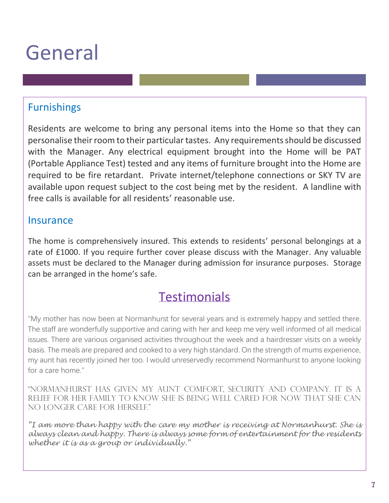$\mathcal{I}(\mathcal{I})$  is a subset of  $\mathcal{I}(\mathcal{I})$ 

## Furnishings

Residents are welcome to bring any personal items into the Home so that they can personalise their room to their particular tastes. Any requirements should be discussed with the Manager. Any electrical equipment brought into the Home will be PAT (Portable Appliance Test) tested and any items of furniture brought into the Home are required to be fire retardant. Private internet/telephone connections or SKY TV are available upon request subject to the cost being met by the resident. A landline with free calls is available for all residents' reasonable use.

### **Insurance**

The home is comprehensively insured. This extends to residents' personal belongings at a rate of £1000. If you require further cover please discuss with the Manager. Any valuable assets must be declared to the Manager during admission for insurance purposes. Storage can be arranged in the home's safe.

## **Testimonials**

"My mother has now been at Normanhurst for several years and is extremely happy and settled there. The staff are wonderfully supportive and caring with her and keep me very well informed of all medical issues. There are various organised activities throughout the week and a hairdresser visits on a weekly basis. The meals are prepared and cooked to a very high standard. On the strength of mums experience, my aunt has recently joined her too. I would unreservedly recommend Normanhurst to anyone looking for a care home."

"Normanhurst has given my aunt comfort, security and company. It is a relief for her family to know she is being well cared for now that she can no longer care for herself."

*"I am more than happy with the care my mother is receiving at Normanhurst. She is always clean and happy. There is always some form of entertainment for the residents whether it is as a group or individually."*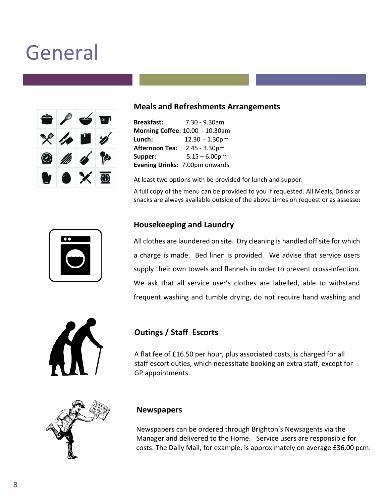

 $\mathcal{I}(\mathcal{I})$  is a subset of  $\mathcal{I}(\mathcal{I})$ 

### **Meals and Refreshments Arrangements**

| <b>Breakfast:</b>     | 7.30 - 9.30am                   |
|-----------------------|---------------------------------|
|                       | Morning Coffee: 10.00 - 10.30am |
| Lunch:                | 12.30 - 1.30pm                  |
| <b>Afternoon Tea:</b> | $2.45 - 3.30pm$                 |
| Supper:               | $5.15 - 6.00$ pm                |
|                       | Evening Drinks: 7.00pm onwards  |

At least two options with be provided for lunch and supper.

A full copy of the menu can be provided to you if requested. All Meals, Drinks ar snacks are always available outside of the above times on request or as assessed

### **Housekeeping and Laundry**

All clothes are laundered on site. Dry cleaning is handled off site for which a charge is made. Bed linen is provided. We advise that service users supply their own towels and flannels in order to prevent cross-infection. We ask that all service user's clothes are labelled, able to withstand frequent washing and tumble drying, do not require hand washing and



### **Outings / Staff Escorts**

A flat fee of £16.50 per hour, plus associated costs, is charged for all staff escort duties, which necessitate booking an extra staff, except for GP appointments.



#### **Newspapers**

Newspapers can be ordered through Brighton's Newsagents via the Manager and delivered to the Home. Service users are responsible for costs. The Daily Mail, for example, is approximately on average £36.00 pcm.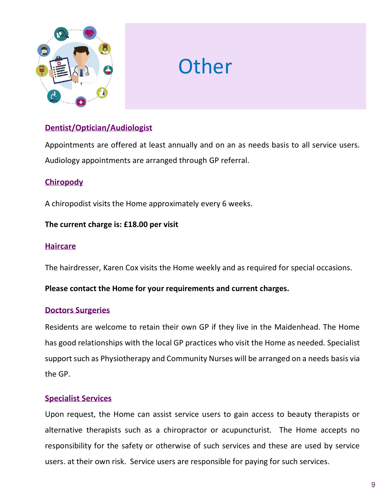

# **Other**

### **Dentist/Optician/Audiologist**

Appointments are offered at least annually and on an as needs basis to all service users. Audiology appointments are arranged through GP referral.

### **Chiropody**

A chiropodist visits the Home approximately every 6 weeks.

#### **The current charge is: £18.00 per visit**

#### **Haircare**

The hairdresser, Karen Cox visits the Home weekly and as required for special occasions.

#### **Please contact the Home for your requirements and current charges.**

#### **Doctors Surgeries**

Residents are welcome to retain their own GP if they live in the Maidenhead. The Home has good relationships with the local GP practices who visit the Home as needed. Specialist support such as Physiotherapy and Community Nurses will be arranged on a needs basis via the GP.

#### **Specialist Services**

Upon request, the Home can assist service users to gain access to beauty therapists or alternative therapists such as a chiropractor or acupuncturist. The Home accepts no responsibility for the safety or otherwise of such services and these are used by service users. at their own risk. Service users are responsible for paying for such services.